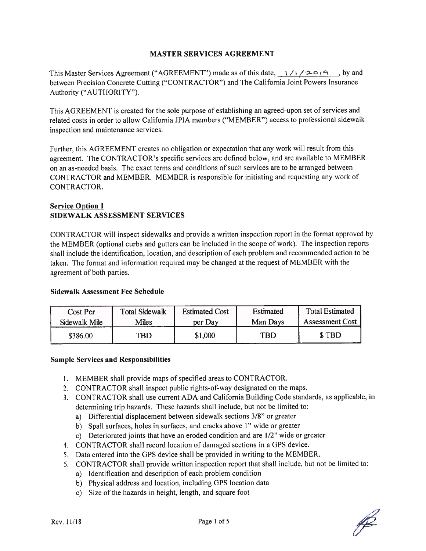#### MASTER SERVICES AGREEMENT

This Master Services Agreement ("AGREEMENT") made as of this date,  $1/1/20$   $(9 \ldots)$  by and between Precision Concrete Cutting ("CONTRACTOR") and The California Joint Powers Insurance Authority ("AUTHORITY").

This AGREEMENT is created for the sole purpose of establishing an agreed-upon set of services and related costs in order to allow California JPIA members ("MEMBER") access to professional sidewalk inspection and maintenance services.

Further, this AGREEMENT creates no obligation or expectation that any work will result from this agreement. The CONTRACTOR's specific services are defined below, and are available to MEMBER on an as-needed basis. The exact terms and conditions of such services are to be arranged between CONTRACTOR and MEMBER. MEMBER is responsible for initiating and requesting any work of CONTRACTOR.

#### **Service Option 1** SIDEWALK ASSESSMENT SERVICES

CONTRACTOR will inspect sidewalks and provide <sup>a</sup> written inspection repor<sup>t</sup> in the format approved by the MEMBER (optional curbs and gutters can be included in the scope of work). The inspection reports shall include the identification, location, and description of each problem and recommended action to be taken. The format and information required may be changed at the reques<sup>t</sup> of MEMBER with the agreemen<sup>t</sup> of both parties.

#### Sidewalk Assessment Fee Schedule

| Cost Per      | <b>Total Sidewalk</b> | <b>Estimated Cost</b> | <b>Estimated</b> | <b>Total Estimated</b> |
|---------------|-----------------------|-----------------------|------------------|------------------------|
| Sidewalk Mile | Miles                 | per Day               | Man Days         | <b>Assessment Cost</b> |
| \$386.00      | TBD                   | \$1,000               | TBD.             | \$TBD                  |

#### Sample Services and Responsibilities

- I. MEMBER shall provide maps of specified areas to CONTRACTOR.
- 2. CONTRACTOR shall inspect public rights-of-way designated on the maps.
- 3. CONTRACTOR shall use current ADA and California Building Code standards, as applicable, in determining trip hazards. These hazards shall include, but not be limited to:
	- a) Differential displacement between sidewalk sections 3/8" or greater
	- b) Spall surfaces, holes in surfaces, and cracks above 1" wide or greater
	- c) Deteriorated joints that have an eroded condition and are 1/2" wide or greater
- 4. CONTRACTOR shall record location of damaged sections in <sup>a</sup> GPS device.
- 5. Data entered into the GPS device shall be provided in writing to the MEMBER.
- 6. CONTRACTOR shall provide written inspection repor<sup>t</sup> that shall include, but not be limited to:
	- a) Identification and description of each problem condition
	- b) Physical address and location, including GPS location data
	- c) Size of the hazards in height, length, and square foot

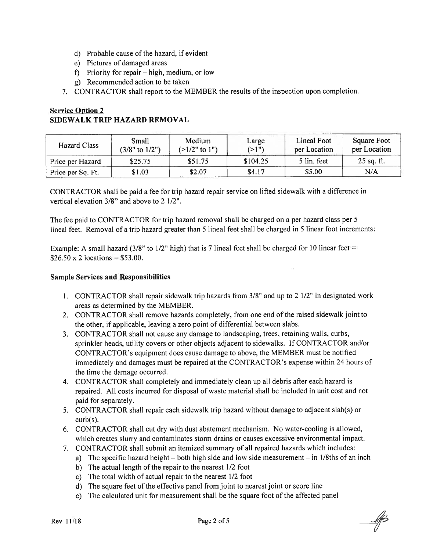- d) Probable cause of the hazard, if evident
- e) Pictures of damaged areas
- f) Priority for repair high, medium, or low
- g) Recommended action to be taken
- 7. CONTRACTOR shall repor<sup>t</sup> to the MEMBER the results of the inspection upon completion.

## Service Option 2 SIDEWALK TRIP HAZARD REMOVAL

| Hazard Class      | Small<br>$(3/8"$ to $1/2")$ | Medium<br>$(>1/2"$ to 1") | Large<br>(>1") | Lineal Foot<br>per Location | Square Foot<br>per Location |
|-------------------|-----------------------------|---------------------------|----------------|-----------------------------|-----------------------------|
| Price per Hazard  | \$25.75                     | \$51.75                   | \$104.25       | 5 lin. feet                 | $25$ sq. ft.                |
| Price per Sq. Ft. | \$1.03                      | \$2.07                    | \$4.17         | \$5.00                      | N/A                         |

CONTRACTOR shall be paid <sup>a</sup> fee for trip hazard repair service on lifted sidewalk with <sup>a</sup> difference in vertical elevation 3/8" and above to 2 1/2".

The fee paid to CONTRACTOR for trip hazard removal shall be charged on <sup>a</sup> per hazard class per 5 lineal feet. Removal of <sup>a</sup> trip hazard greater than 5 lineal feet shall be charged in 5 linear foot increments:

Example: A small hazard (3/8" to 1/2" high) that is 7 lineal feet shall be charged for 10 linear feet =  $$26.50 \times 2$  locations = \$53.00.

#### Sample Services and Responsibilities

- 1. CONTRACTOR shall repair sidewalk trip hazards from  $3/8$ " and up to 2  $1/2$ " in designated work areas as determined by the MEMBER.
- 2. CONTRACTOR shall remove hazards completely, from one end of the raised sidewalk joint to the other, if applicable, leaving <sup>a</sup> zero point of differential between slabs.
- 3. CONTRACTOR shall not cause any damage to landscaping, trees, retaining walls, curbs, sprinkler heads, utility covers or other objects adjacent to sidewalks. If CONTRACTOR and/or CONTRACTOR's equipment does cause damage to above, the MEMBER must be notified immediately and damages must be repaired at the CONTRACTOR's expense within <sup>24</sup> hours of the time the damage occurred.
- 4. CONTRACTOR shall completely and immediately clean up all debris after each hazard is repaired. All costs incurred for disposal of waste material shall be included in unit cost and not paid for separately.
- 5. CONTRACTOR shall repair each sidewalk trip hazard without damage to adjacent slab(s) or curb(s).
- 6. CONTRACTOR shall cut dry with dust abatement mechanism. No water-cooling is allowed, which creates slurry and contaminates storm drains or causes excessive environmental impact.
- 7. CONTRACTOR shall submit an itemized summary of all repaired hazards which includes:
	- a) The specific hazard height  $-$  both high side and low side measurement  $-$  in 1/8ths of an inch
		- b) The actual length of the repair to the nearest 1/2 foot
		- c) The total width of actual repair to the nearest 1/2 foot
		- d) The square feet of the effective panel from joint to nearest joint or score line
		- e) The calculated unit for measurement shall be the square foot of the affected panel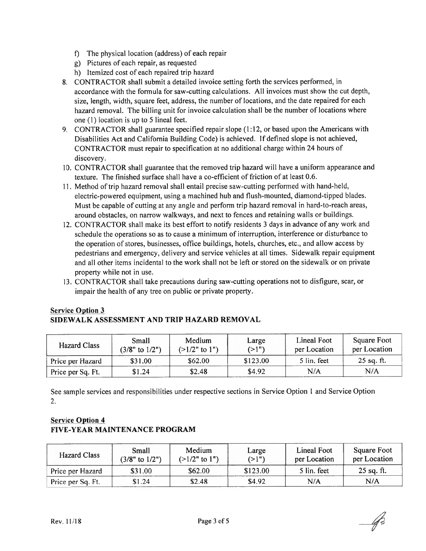- f) The physical location (address) of each repair
- g) Pictures of each repair, as requested
- h) Itemized cost of each repaired trip hazard
- 8. CONTRACTOR shall submit <sup>a</sup> detailed invoice setting forth the services performed, in accordance with the formula for saw-cutting calculations. All invoices must show the cut depth, size, length, width, square feet, address, the number of locations, and the date repaired for each hazard removal. The billing unit for invoice calculation shall be the number of locations where one (I) location is up to 5 lineal feet.
- 9. CONTRACTOR shall guarantee specified repair slope (1:12, or based upon the Americans with Disabilities Act and California Building Code) is achieved. If defined slope is not achieved, CONTRACTOR must repair to specification at no additional charge within <sup>24</sup> hours of discovery.
- 10. CONTRACTOR shall guarantee that the removed trip hazard will have <sup>a</sup> uniform appearance and texture. The finished surface shall have <sup>a</sup> co-efficient of friction of at least 0.6.
- 11. Method of trip hazard removal shall entail precise saw-cutting performed with hand-held, electric-powered equipment, using <sup>a</sup> machined hub and flush-mounted, diamond-tipped blades. Must be capable of cutting at any angle and perform trip hazard removal in hard-to-reach areas, around obstacles, on narrow walkways, and next to fences and retaining walls or buildings.
- 12. CONTRACTOR shall make its best effort to notify residents 3 days in advance of any work and schedule the operations so as to cause <sup>a</sup> minimum of interruption, interference or disturbance to the operation of stores, businesses, office buildings, hotels, churches, etc., and allow access by pedestrians and emergency, delivery and service vehicles at all times. Sidewalk repair equipment and all other items incidental to the work shall not be left or stored on the sidewalk or on private property while not in use.
- 13. CONTRACTOR shall take precautions during saw-cutting operations not to disfigure, scar, or impair the health of any tree on public or private property.

| <b>Hazard Class</b> | Small<br>$(3/8"$ to $1/2")$ | Medium<br>$(>1/2"$ to 1") | Large<br>(>1") | Lineal Foot<br>per Location | <b>Square Foot</b><br>per Location |
|---------------------|-----------------------------|---------------------------|----------------|-----------------------------|------------------------------------|
| Price per Hazard    | \$31.00                     | \$62.00                   | \$123.00       | 5 lin. feet                 | $25$ sq. ft.                       |
| Price per Sq. Ft.   | \$1.24                      | \$2.48                    | \$4.92         | N/A                         | N/A                                |

## Service Option 3 SIDEWALK ASSESSMENT AND TRIP HAZARD REMOVAL

See sample services and responsibilities under respective sections in Service Option <sup>I</sup> and Service Option 2.

## Service Option 4 FIVE-YEAR MAINTENANCE PROGRAM

| <b>Hazard Class</b> | Small<br>$(3/8"$ to $1/2")$ | Medium<br>$(>1/2"$ to 1") | Large<br>(>1") | Lineal Foot<br>per Location | Square Foot<br>per Location |
|---------------------|-----------------------------|---------------------------|----------------|-----------------------------|-----------------------------|
| Price per Hazard    | \$31.00                     | \$62.00                   | \$123.00       | 5 lin. feet                 | $25$ sq. ft.                |
| Price per Sq. Ft.   | \$1.24                      | \$2.48                    | \$4.92         | N/A                         | N/A                         |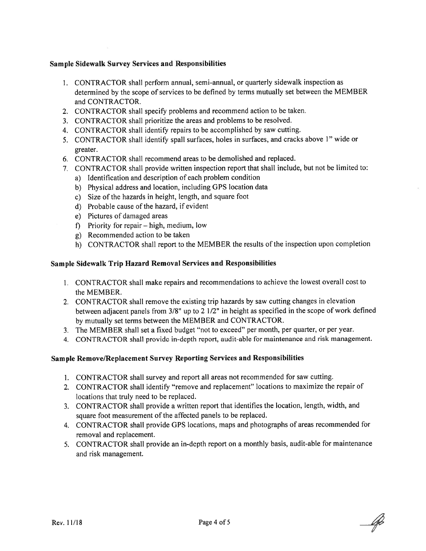#### Sample Sidewalk Survey Services and Responsibilities

- 1. CONTRACTOR shall perform annual, semi-annual, or quarterly sidewalk inspection as determined by the scope of services to be defined by terms mutually set between the MEMBER and CONTRACTOR.
- 2. CONTRACTOR shall specify problems and recommend action to be taken.
- 3. CONTRACTOR shall prioritize the areas and problems to be resolved.
- 4. CONTRACTOR shall identify repairs to be accomplished by saw cutting.
- 5. CONTRACTOR shall identify spall surfaces, holes in surfaces, and cracks above 1" wide or greater.
- 6. CONTRACTOR shall recommend areas to be demolished and replaced.
- 7. CONTRACTOR shall provide written inspection repor<sup>t</sup> that shall include, but not be limited to:
	- a) Ldentification and description of each problem condition
	- b) Physical address and location, including GPS location data
	- c) Size of the hazards in height, length, and square foot
	- d) Probable cause of the hazard, if evident
	- e) Pictures of damaged areas
	- 1) Priority for repair high, medium, low
	- g) Recommended action to be taken
	- h) CONTRACTOR shall repor<sup>t</sup> to the MEMBER the results of the inspection upon completion

#### Sample Sidewalk Trip Hazard Removal Services and Responsibilities

- 1. CONTRACTOR shall make repairs and recommendations to achieve the lowest overall cost to the MEMBER.
- 2. CONTRACTOR shall remove the existing trip hazards by saw cutting changes in elevation between adjacent panels from 3/8' up to <sup>2</sup> 1/2" in height as specified in the scope of work defined by mutually set terms between the MEMBER and CONTRACTOR.
- 3. The MEMBER shall set <sup>a</sup> fixed budget "not to exceed" per month, per quarter, or per year.
- 4. CONTRACTOR shall provide in-depth report, audit-able for maintenance and risk management.

#### Sample Remove/Replacement Survey Reporting Services and Responsibilities

- 1. CONTRACTOR shall survey and repor<sup>t</sup> all areas not recommended for saw cutting.
- 2. CONTRACTOR shall identify "remove and replacement" locations to maximize the repair of locations that truly need to be replaced.
- 3. CONTRACTOR shall provide <sup>a</sup> written repor<sup>t</sup> that identifies the location, length, width, and square foot measurement of the affected panels to be replaced.
- 4. CONTRACTOR shall provide GPS locations, maps and <sup>p</sup>hotographs of areas recommended for removal and replacement.
- 5. CONTRACTOR shall provide an in-depth repor<sup>t</sup> on <sup>a</sup> monthly basis, audit-able for maintenance and risk management.